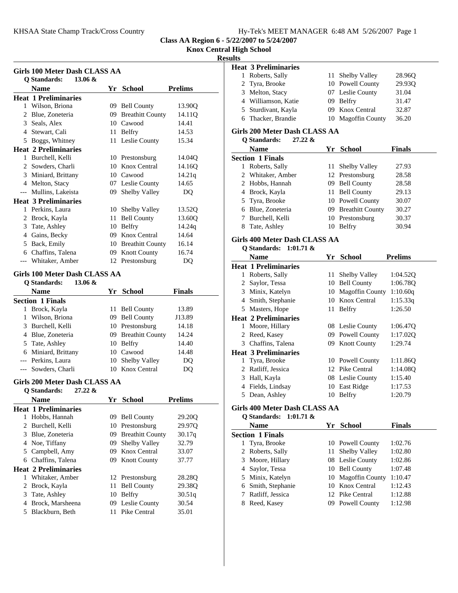## **Knox Central High School**

## **Results**

| Girls 100 Meter Dash CLASS AA |                                                  |    |                                       |                |
|-------------------------------|--------------------------------------------------|----|---------------------------------------|----------------|
|                               | $13.06 \&$<br><b>Q</b> Standards:                |    |                                       |                |
|                               | <b>Name</b>                                      |    | Yr School                             | <b>Prelims</b> |
|                               | <b>Heat 1 Preliminaries</b>                      |    |                                       |                |
|                               | 1 Wilson, Briona                                 |    | 09 Bell County<br>09 Breathitt County | 13.90Q         |
|                               | 2 Blue, Zoneteria                                |    |                                       | 14.11Q         |
|                               | 3 Seals, Alex                                    |    | 10 Cawood                             | 14.41          |
|                               | 4 Stewart, Cali                                  |    | 11 Belfry                             | 14.53          |
|                               | 5 Boggs, Whitney                                 |    | 11 Leslie County                      | 15.34          |
|                               | <b>Heat 2 Preliminaries</b>                      |    |                                       |                |
|                               | 1 Burchell, Kelli                                |    | 10 Prestonsburg                       | 14.04Q         |
|                               | 2 Sowders, Charli                                |    | 10 Knox Central                       | 14.16Q         |
|                               | 3 Miniard, Brittany                              |    | 10 Cawood                             | 14.21q         |
|                               | 4 Melton, Stacy                                  |    | 07 Leslie County                      | 14.65          |
|                               | --- Mullins, Lakeista                            |    | 09 Shelby Valley                      | DQ             |
|                               | <b>Heat 3 Preliminaries</b>                      |    |                                       |                |
|                               | 1 Perkins, Laura                                 |    | 10 Shelby Valley                      | 13.52Q         |
|                               | 2 Brock, Kayla                                   |    | 11 Bell County                        | 13.60Q         |
|                               | 3 Tate, Ashley                                   |    | 10 Belfry                             | 14.24q         |
|                               | 4 Gains, Becky                                   |    | 09 Knox Central                       | 14.64          |
|                               | 5 Back, Emily                                    |    | 10 Breathitt County                   | 16.14          |
|                               | 6 Chaffins, Talena                               |    | 09 Knott County                       | 16.74          |
|                               | --- Whitaker, Amber                              |    | 12 Prestonsburg                       | DQ             |
|                               | <b>Girls 100 Meter Dash CLASS AA</b>             |    |                                       |                |
|                               | Q Standards:<br>$13.06 \&$                       |    |                                       |                |
|                               | <b>Name</b>                                      |    | Yr School                             | <b>Finals</b>  |
|                               | <b>Section 1 Finals</b>                          |    |                                       |                |
|                               | 1 Brock, Kayla                                   |    | 11 Bell County                        | 13.89          |
|                               | 1 Wilson, Briona                                 |    | 09 Bell County                        | J13.89         |
|                               | 3 Burchell, Kelli                                |    | 10 Prestonsburg                       | 14.18          |
|                               | 4 Blue, Zoneteria                                |    | 09 Breathitt County                   | 14.24          |
|                               | 5 Tate, Ashley                                   |    | 10 Belfry                             | 14.40          |
|                               | 6 Miniard, Brittany                              |    | 10 Cawood                             | 14.48          |
|                               | --- Perkins, Laura                               |    | 10 Shelby Valley                      | DQ             |
|                               | --- Sowders, Charli                              |    | 10 Knox Central                       | DQ             |
|                               | Girls 200 Meter Dash CLASS AA                    |    |                                       |                |
|                               | <b>Q</b> Standards:<br>$27.22 \&$<br><b>Name</b> | Yr | School                                | <b>Prelims</b> |
|                               | <b>Heat 1 Preliminaries</b>                      |    |                                       |                |
|                               | 1 Hobbs, Hannah                                  |    | 09 Bell County                        | 29.20Q         |
| 2                             | Burchell, Kelli                                  |    | 10 Prestonsburg                       | 29.97Q         |
| 3                             | Blue, Zoneteria                                  |    | 09 Breathitt County                   | 30.17q         |
| 4                             | Noe, Tiffany                                     | 09 | Shelby Valley                         | 32.79          |
| 5                             | Campbell, Amy                                    | 09 | Knox Central                          | 33.07          |
| 6                             | Chaffins, Talena                                 | 09 | <b>Knott County</b>                   | 37.77          |
|                               | <b>Heat 2 Preliminaries</b>                      |    |                                       |                |
| 1                             | Whitaker, Amber                                  |    |                                       |                |
|                               |                                                  |    | 12 Prestonsburg                       | 28.28Q         |
| 2                             | Brock, Kayla                                     | 11 | <b>Bell County</b>                    | 29.38Q         |
| 3                             | Tate, Ashley                                     | 10 | <b>Belfry</b>                         | 30.51q         |
| 4                             | Brock, Marsheena                                 | 09 | Leslie County                         | 30.54          |
| 5                             | Blackburn, Beth                                  | 11 | Pike Central                          | 35.01          |

| ᄖᄖ     |                                    |      |                                          |                |
|--------|------------------------------------|------|------------------------------------------|----------------|
|        | <b>Heat 3 Preliminaries</b>        |      |                                          |                |
| 1      | Roberts, Sally                     | 11 - | Shelby Valley                            | 28.96Q         |
| 2      | Tyra, Brooke                       |      | 10 Powell County                         | 29.93Q         |
| 3      | Melton, Stacy                      |      | 07 Leslie County                         | 31.04          |
|        | 4 Williamson, Katie                |      | 09 Belfry                                | 31.47          |
|        | 5 Sturdivant, Kayla                |      | 09 Knox Central                          | 32.87          |
|        | 6 Thacker, Brandie                 |      | 10 Magoffin County                       | 36.20          |
|        | Girls 200 Meter Dash CLASS AA      |      |                                          |                |
|        | <b>Q</b> Standards:<br>27.22 &     |      |                                          |                |
|        | <b>Name</b>                        |      |                                          |                |
|        |                                    |      | Yr School                                | <b>Finals</b>  |
| 1      | <b>Section 1 Finals</b>            | 11   | Shelby Valley                            |                |
| 2      | Roberts, Sally<br>Whitaker, Amber  |      | 12 Prestonsburg                          | 27.93<br>28.58 |
|        |                                    |      | 09 Bell County                           |                |
| 2      | Hobbs, Hannah                      |      | 11 Bell County                           | 28.58<br>29.13 |
|        | 4 Brock, Kayla                     |      |                                          |                |
| 5      | Tyra, Brooke                       |      | 10 Powell County<br>09 Breathitt County  | 30.07          |
| 6<br>7 | Blue, Zoneteria                    |      | 10 Prestonsburg                          | 30.27          |
|        | Burchell, Kelli                    |      |                                          | 30.37          |
|        | 8 Tate, Ashley                     |      | 10 Belfry                                | 30.94          |
|        | Girls 400 Meter Dash CLASS AA      |      |                                          |                |
|        | <b>Q</b> Standards:<br>$1:01.71$ & |      |                                          |                |
|        | <b>Name</b>                        |      | Yr School                                | <b>Prelims</b> |
|        | <b>Heat 1 Preliminaries</b>        |      |                                          |                |
|        | 1 Roberts, Sally                   | 11   | Shelby Valley                            | 1:04.52Q       |
|        | 2 Saylor, Tessa                    |      | 10 Bell County                           | 1:06.78Q       |
|        | 3 Minix, Katelyn                   |      | 10 Magoffin County                       | 1:10.60q       |
|        | 4 Smith, Stephanie                 |      | 10 Knox Central                          | 1:15.33q       |
|        | 5 Masters, Hope                    | 11   | <b>Belfry</b>                            | 1:26.50        |
|        | <b>Heat 2 Preliminaries</b>        |      |                                          |                |
| 1      | Moore, Hillary                     |      | 08 Leslie County                         | 1:06.47Q       |
| 2      | Reed, Kasey                        |      | 09 Powell County                         | 1:17.02Q       |
|        | 3 Chaffins, Talena                 |      | 09 Knott County                          | 1:29.74        |
|        | <b>Heat 3 Preliminaries</b>        |      |                                          |                |
| 1      | Tyra, Brooke                       |      | 10 Powell County                         | 1:11.86Q       |
|        | 2 Ratliff, Jessica                 |      | 12 Pike Central                          | 1:14.08Q       |
|        | 3 Hall, Kayla                      |      | 08 Leslie County                         | 1:15.40        |
|        | 4 Fields, Lindsay                  |      | 10 East Ridge                            | 1:17.53        |
|        | 5 Dean, Ashley                     |      | 10 Belfry                                | 1:20.79        |
|        | Girls 400 Meter Dash CLASS AA      |      |                                          |                |
|        | Q Standards:<br>$1:01.71 \&$       |      |                                          |                |
|        |                                    |      |                                          |                |
|        | <b>Name</b>                        |      | Yr School                                | <b>Finals</b>  |
|        | <b>Section 1 Finals</b>            |      |                                          |                |
| 1      | Tyra, Brooke                       |      | 10 Powell County                         | 1:02.76        |
| 2      | Roberts, Sally                     | 11   | Shelby Valley                            | 1:02.80        |
| 3      | Moore, Hillary                     |      | 08 Leslie County                         | 1:02.86        |
| 4      | Saylor, Tessa                      |      | 10 Bell County<br><b>Magoffin County</b> | 1:07.48        |
| 5      | Minix, Katelyn                     | 10   | 10 Knox Central                          | 1:10.47        |
| 6      | Smith, Stephanie                   |      |                                          | 1:12.43        |

7 Ratliff, Jessica 12 Pike Central 1:12.88<br>8 Reed, Kasey 09 Powell County 1:12.98

09 Powell County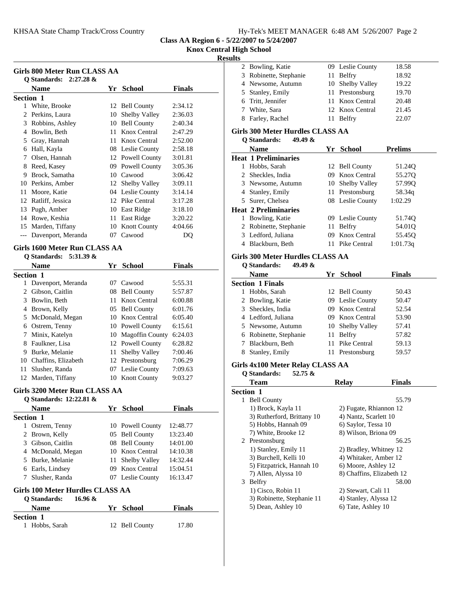#### **Knox Central High School**

### **Results**

| Girls 800 Meter Run CLASS AA<br>Q Standards: $2:27.28 \&$ |                    |     |                     |               |
|-----------------------------------------------------------|--------------------|-----|---------------------|---------------|
|                                                           | <b>Name</b>        | Yr  | <b>School</b>       | <b>Finals</b> |
| Section 1                                                 |                    |     |                     |               |
| 1                                                         | White, Brooke      |     | 12 Bell County      | 2:34.12       |
| $\mathfrak{D}_{\mathfrak{p}}$                             | Perkins, Laura     | 10  | Shelby Valley       | 2:36.03       |
| 3                                                         | Robbins, Ashley    | 10  | <b>Bell County</b>  | 2:40.34       |
| 4                                                         | Bowlin, Beth       | 11  | Knox Central        | 2:47.29       |
| 5.                                                        | Gray, Hannah       | 11  | Knox Central        | 2:52.00       |
| 6                                                         | Hall, Kayla        |     | 08 Leslie County    | 2:58.18       |
| 7                                                         | Olsen, Hannah      |     | 12 Powell County    | 3:01.81       |
| 8                                                         | Reed, Kasey        | 09. | Powell County       | 3:05.36       |
| 9                                                         | Brock, Samatha     |     | 10 Cawood           | 3:06.42       |
| 10                                                        | Perkins, Amber     |     | 12 Shelby Valley    | 3:09.11       |
| 11                                                        | Moore, Katie       |     | 04 Leslie County    | 3:14.14       |
| 12                                                        | Ratliff, Jessica   |     | 12 Pike Central     | 3:17.28       |
| 13                                                        | Pugh, Amber        | 10  | East Ridge          | 3:18.10       |
| 14                                                        | Rowe, Keshia       | 11  | East Ridge          | 3:20.22       |
| 15                                                        | Marden, Tiffany    | 10  | <b>Knott County</b> | 4:04.66       |
|                                                           | Davenport, Meranda | 07. | Cawood              | DO            |

#### **Girls 1600 Meter Run CLASS AA Q Standards: 5:31.39 &**

| Q Standards: |
|--------------|
| $N = 0$      |

|           | Name                | Yr      | <b>School</b>        | Finals  |
|-----------|---------------------|---------|----------------------|---------|
| Section 1 |                     |         |                      |         |
| 1         | Davenport, Meranda  | $^{07}$ | Cawood               | 5:55.31 |
| 2         | Gibson, Caitlin     | 08      | <b>Bell County</b>   | 5:57.87 |
| 3         | Bowlin, Beth        | 11      | Knox Central         | 6:00.88 |
| 4         | Brown, Kelly        |         | 05 Bell County       | 6:01.76 |
| 5         | McDonald, Megan     | 10      | Knox Central         | 6:05.40 |
| 6         | Ostrem, Tenny       |         | 10 Powell County     | 6:15.61 |
|           | Minix, Katelyn      |         | 10 Magoffin County   | 6:24.03 |
| 8         | Faulkner, Lisa      |         | 12 Powell County     | 6:28.82 |
| 9         | Burke, Melanie      | 11      | <b>Shelby Valley</b> | 7:00.46 |
| 10        | Chaffins, Elizabeth |         | 12 Prestonsburg      | 7:06.29 |
| 11        | Slusher, Randa      | 07      | Leslie County        | 7:09.63 |
| 12        | Marden, Tiffany     | 10      | <b>Knott County</b>  | 9:03.27 |

#### **Girls 3200 Meter Run CLASS AA**

#### **Q Standards: 12:22.81 &**

**Section 1**<br>1 Hobbs, Sarah

| <b>Name</b>                      |         |     | Yr School            | <b>Finals</b> |  |
|----------------------------------|---------|-----|----------------------|---------------|--|
| <b>Section 1</b>                 |         |     |                      |               |  |
| Ostrem, Tenny<br>1               |         |     | 10 Powell County     | 12:48.77      |  |
| 2 Brown, Kelly                   |         |     | 05 Bell County       | 13:23.40      |  |
| 3 Gibson, Caitlin                |         |     | 08 Bell County       | 14:01.00      |  |
| McDonald, Megan<br>4             |         |     | 10 Knox Central      | 14:10.38      |  |
| 5 Burke, Melanie                 |         | 11. | <b>Shelby Valley</b> | 14:32.44      |  |
| 6 Earls, Lindsey                 |         | 09. | Knox Central         | 15:04.51      |  |
| Slusher, Randa                   |         |     | 07 Leslie County     | 16:13.47      |  |
| Girls 100 Meter Hurdles CLASS AA |         |     |                      |               |  |
| O Standards:                     | 16.96 & |     |                      |               |  |
| <b>Name</b>                      |         | Yг  | School               | Finals        |  |

12 Bell County 17.80

| S |                        |                  |       |
|---|------------------------|------------------|-------|
|   | 2 Bowling, Katie       | 09 Leslie County | 18.58 |
|   | 3 Robinette, Stephanie | 11 Belfry        | 18.92 |
|   | 4 Newsome, Autumn      | 10 Shelby Valley | 19.22 |
|   | 5 Stanley, Emily       | 11 Prestonsburg  | 19.70 |
|   | 6 Tritt, Jennifer      | 11 Knox Central  | 20.48 |
|   | 7 White, Sara          | 12 Knox Central  | 21.45 |
|   | 8 Farley, Rachel       | 11 Belfry        | 22.07 |

### **Girls 300 Meter Hurdles CLASS AA**

| <b>Q</b> Standards: | 49.49 & |  |
|---------------------|---------|--|
|---------------------|---------|--|

|   | <b>Name</b>                 | Yr  | School           | <b>Prelims</b> |
|---|-----------------------------|-----|------------------|----------------|
|   | <b>Heat 1 Preliminaries</b> |     |                  |                |
| 1 | Hobbs, Sarah                |     | 12 Bell County   | 51.24Q         |
|   | 2 Sheckles, India           |     | 09 Knox Central  | 55.270         |
|   | 3 Newsome, Autumn           |     | 10 Shelby Valley | 57.99Q         |
|   | 4 Stanley, Emily            |     | 11 Prestonsburg  | 58.34q         |
|   | 5 Surer, Chelsea            |     | 08 Leslie County | 1:02.29        |
|   | <b>Heat 2 Preliminaries</b> |     |                  |                |
|   | Bowling, Katie              |     | 09 Leslie County | 51.74Q         |
|   | 2 Robinette, Stephanie      | 11  | Belfry           | 54.01Q         |
|   | 3 Ledford, Juliana          | 09. | Knox Central     | 55.45O         |
|   | Blackburn, Beth             |     | Pike Central     | 1:01.73q       |
|   |                             |     |                  |                |

# Girls 300 Meter Hurdles CLASS AA<br>O Standards: 40.40 &

|    | 49.49 $\&$<br><b>O</b> Standards: |    |                  |               |
|----|-----------------------------------|----|------------------|---------------|
|    | <b>Name</b>                       |    | Yr School        | <b>Finals</b> |
|    | <b>Section 1 Finals</b>           |    |                  |               |
| L  | Hobbs, Sarah                      |    | 12 Bell County   | 50.43         |
|    | 2 Bowling, Katie                  |    | 09 Leslie County | 50.47         |
| 3. | Sheckles, India                   |    | 09 Knox Central  | 52.54         |
|    | 4 Ledford, Juliana                |    | 09 Knox Central  | 53.90         |
|    | 5 Newsome, Autumn                 |    | 10 Shelby Valley | 57.41         |
|    | 6 Robinette, Stephanie            | 11 | Belfry           | 57.82         |
|    | Blackburn, Beth                   | 11 | Pike Central     | 59.13         |
| 8  | Stanley, Emily                    |    | Prestonsburg     | 59.57         |

# **Girls 4x100 Meter Relay CLASS AA**

| 52.75 $\&$<br><b>O</b> Standards: |                               |
|-----------------------------------|-------------------------------|
| Team                              | <b>Finals</b><br><b>Relay</b> |
| <b>Section 1</b>                  |                               |
| <b>Bell County</b><br>1           | 55.79                         |
| 1) Brock, Kayla 11                | 2) Fugate, Rhiannon 12        |
| 3) Rutherford, Brittany 10        | 4) Nantz, Scarlett 10         |
| 5) Hobbs, Hannah 09               | 6) Saylor, Tessa 10           |
| 7) White, Brooke 12               | 8) Wilson, Briona 09          |
| 2 Prestonsburg                    | 56.25                         |
| 1) Stanley, Emily 11              | 2) Bradley, Whitney 12        |
| 3) Burchell, Kelli 10             | 4) Whitaker, Amber 12         |
| 5) Fitzpatrick, Hannah 10         | 6) Moore, Ashley 12           |
| 7) Allen, Alyssa 10               | 8) Chaffins, Elizabeth 12     |
| 3 Belfry                          | 58.00                         |
| 1) Cisco, Robin 11                | 2) Stewart, Cali 11           |
| 3) Robinette, Stephanie 11        | 4) Stanley, Alyssa 12         |
| 5) Dean, Ashley 10                | 6) Tate, Ashley 10            |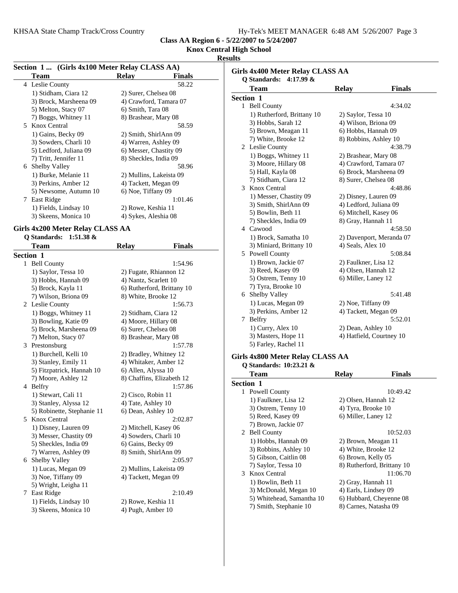## **Knox Central High School**

### **Results**

| Section 1  (Girls 4x100 Meter Relay CLASS AA) |                                          |                         |               |
|-----------------------------------------------|------------------------------------------|-------------------------|---------------|
|                                               | Team                                     | Relay                   | <b>Finals</b> |
|                                               | 4 Leslie County                          |                         | 58.22         |
|                                               | 1) Stidham, Ciara 12                     | 2) Surer, Chelsea 08    |               |
|                                               | 3) Brock, Marsheena 09                   | 4) Crawford, Tamara 07  |               |
|                                               | 6) Smith, Tara 08<br>5) Melton, Stacy 07 |                         |               |
|                                               | 7) Boggs, Whitney 11                     | 8) Brashear, Mary 08    |               |
|                                               | 5 Knox Central                           |                         | 58.59         |
|                                               | 1) Gains, Becky 09                       | 2) Smith, ShirlAnn 09   |               |
|                                               | 3) Sowders, Charli 10                    | 4) Warren, Ashley 09    |               |
|                                               | 5) Ledford, Juliana 09                   | 6) Messer, Chastity 09  |               |
|                                               | 7) Tritt, Jennifer 11                    | 8) Sheckles, India 09   |               |
|                                               | 6 Shelby Valley                          |                         | 58.96         |
|                                               | 1) Burke, Melanie 11                     | 2) Mullins, Lakeista 09 |               |
|                                               | 3) Perkins, Amber 12                     | 4) Tackett, Megan 09    |               |
|                                               | 5) Newsome, Autumn 10                    | 6) Noe, Tiffany 09      |               |
|                                               | 7 East Ridge                             |                         | 1:01.46       |
|                                               | 1) Fields, Lindsay 10                    | 2) Rowe, Keshia 11      |               |
|                                               | 3) Skeens, Monica 10                     | 4) Sykes, Aleshia 08    |               |
|                                               |                                          |                         |               |

#### **Girls 4x200 Meter Relay CLASS AA Q Standards: 1:51.38 &**

|              | $\chi$ bunuarus. Listivo $\alpha$<br><b>Team</b> | <b>Relay</b>            | <b>Finals</b>              |
|--------------|--------------------------------------------------|-------------------------|----------------------------|
|              | Section 1                                        |                         |                            |
| $\mathbf{1}$ | <b>Bell County</b>                               |                         | 1:54.96                    |
|              | 1) Saylor, Tessa 10                              | 2) Fugate, Rhiannon 12  |                            |
|              | 3) Hobbs, Hannah 09                              | 4) Nantz, Scarlett 10   |                            |
|              | 5) Brock, Kayla 11                               |                         | 6) Rutherford, Brittany 10 |
|              | 7) Wilson, Briona 09                             | 8) White, Brooke 12     |                            |
|              | 2 Leslie County                                  |                         | 1:56.73                    |
|              | 1) Boggs, Whitney 11                             | 2) Stidham, Ciara 12    |                            |
|              | 3) Bowling, Katie 09                             | 4) Moore, Hillary 08    |                            |
|              | 5) Brock, Marsheena 09                           | 6) Surer, Chelsea 08    |                            |
|              | 7) Melton, Stacy 07                              | 8) Brashear, Mary 08    |                            |
| 3            | Prestonsburg                                     |                         | 1:57.78                    |
|              | 1) Burchell, Kelli 10                            | 2) Bradley, Whitney 12  |                            |
|              | 3) Stanley, Emily 11                             | 4) Whitaker, Amber 12   |                            |
|              | 5) Fitzpatrick, Hannah 10                        | 6) Allen, Alyssa 10     |                            |
|              | 7) Moore, Ashley 12                              |                         | 8) Chaffins, Elizabeth 12  |
|              | 4 Belfry                                         |                         | 1:57.86                    |
|              | 1) Stewart, Cali 11                              | 2) Cisco, Robin 11      |                            |
|              | 3) Stanley, Alyssa 12                            | 4) Tate, Ashley 10      |                            |
|              | 5) Robinette, Stephanie 11                       | 6) Dean, Ashley 10      |                            |
|              | 5 Knox Central                                   |                         | 2:02.87                    |
|              | 1) Disney, Lauren 09                             | 2) Mitchell, Kasey 06   |                            |
|              | 3) Messer, Chastity 09                           | 4) Sowders, Charli 10   |                            |
|              | 5) Sheckles, India 09                            | 6) Gains, Becky 09      |                            |
|              | 7) Warren, Ashley 09                             | 8) Smith, ShirlAnn 09   |                            |
|              | 6 Shelby Valley                                  |                         | 2:05.97                    |
|              | 1) Lucas, Megan 09                               | 2) Mullins, Lakeista 09 |                            |
|              | 3) Noe, Tiffany 09                               | 4) Tackett, Megan 09    |                            |
|              | 5) Wright, Leigha 11                             |                         |                            |
| 7            | East Ridge                                       |                         | 2:10.49                    |
|              | 1) Fields, Lindsay 10                            | 2) Rowe, Keshia 11      |                            |
|              | 3) Skeens, Monica 10                             | 4) Pugh, Amber 10       |                            |

|   | <b>Team</b>                      | <b>Relay</b>               | <b>Finals</b>            |
|---|----------------------------------|----------------------------|--------------------------|
|   | Section 1                        |                            |                          |
|   | 1 Bell County                    |                            | 4:34.02                  |
|   | 1) Rutherford, Brittany 10       | 2) Saylor, Tessa 10        |                          |
|   | 3) Hobbs, Sarah 12               | 4) Wilson, Briona 09       |                          |
|   | 5) Brown, Meagan 11              | 6) Hobbs, Hannah 09        |                          |
|   | 7) White, Brooke 12              | 8) Robbins, Ashley 10      |                          |
|   | 2 Leslie County                  |                            | 4:38.79                  |
|   | 1) Boggs, Whitney 11             | 2) Brashear, Mary 08       |                          |
|   | 3) Moore, Hillary 08             | 4) Crawford, Tamara 07     |                          |
|   | 5) Hall, Kayla 08                | 6) Brock, Marsheena 09     |                          |
|   | 7) Stidham, Ciara 12             | 8) Surer, Chelsea 08       |                          |
| 3 | Knox Central                     |                            | 4:48.86                  |
|   | 1) Messer, Chastity 09           | 2) Disney, Lauren 09       |                          |
|   | 3) Smith, ShirlAnn 09            | 4) Ledford, Juliana 09     |                          |
|   | 5) Bowlin, Beth 11               | 6) Mitchell, Kasey 06      |                          |
|   | 7) Sheckles, India 09            | 8) Gray, Hannah 11         |                          |
|   | 4 Cawood                         |                            | 4:58.50                  |
|   | 1) Brock, Samatha 10             |                            | 2) Davenport, Meranda 07 |
|   | 3) Miniard, Brittany 10          | 4) Seals, Alex 10          |                          |
|   | 5 Powell County                  |                            | 5:08.84                  |
|   | 1) Brown, Jackie 07              | 2) Faulkner, Lisa 12       |                          |
|   | 3) Reed, Kasey 09                | 4) Olsen, Hannah 12        |                          |
|   | 5) Ostrem, Tenny 10              | 6) Miller, Laney 12        |                          |
|   | 7) Tyra, Brooke 10               |                            |                          |
|   | 6 Shelby Valley                  |                            | 5:41.48                  |
|   | 1) Lucas, Megan 09               | 2) Noe, Tiffany 09         |                          |
|   | 3) Perkins, Amber 12             | 4) Tackett, Megan 09       |                          |
|   | 7 Belfry                         |                            | 5:52.01                  |
|   | 1) Curry, Alex 10                | 2) Dean, Ashley 10         |                          |
|   | 3) Masters, Hope 11              |                            | 4) Hatfield, Courtney 10 |
|   | 5) Farley, Rachel 11             |                            |                          |
|   | Girls 4x800 Meter Relay CLASS AA |                            |                          |
|   | Q Standards: 10:23.21 &          |                            |                          |
|   | Team                             | <b>Relay</b>               | <b>Finals</b>            |
|   | Section 1                        |                            |                          |
| 1 | Powell County                    |                            | 10:49.42                 |
|   | 1) Faulkner, Lisa 12             | 2) Olsen, Hannah 12        |                          |
|   | $3)$ Ostrom Tonny $10$           | $\Lambda$ Tyre Rrooke $10$ |                          |

| 3) Ostrem, Tenny 10       | 4) Tyra, Brooke 10         |
|---------------------------|----------------------------|
| 5) Reed, Kasey 09         | 6) Miller, Laney 12        |
| 7) Brown, Jackie 07       |                            |
| 2 Bell County             | 10:52.03                   |
| 1) Hobbs, Hannah 09       | 2) Brown, Meagan 11        |
| 3) Robbins, Ashley 10     | 4) White, Brooke 12        |
| 5) Gibson, Caitlin 08     | 6) Brown, Kelly 05         |
| 7) Saylor, Tessa 10       | 8) Rutherford, Brittany 10 |
| 3 Knox Central            | 11:06.70                   |
| 1) Bowlin, Beth 11        | 2) Gray, Hannah 11         |
| 3) McDonald, Megan 10     | 4) Earls, Lindsey 09       |
| 5) Whitehead, Samantha 10 | 6) Hubbard, Cheyenne 08    |

7) Smith, Stephanie 10 8) Carnes, Natasha 09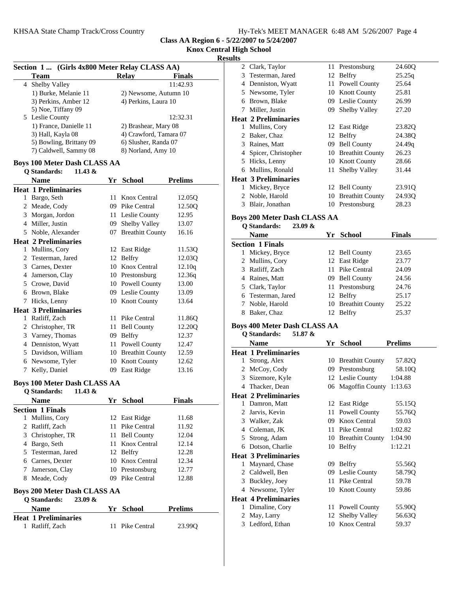# **Knox Central High School**

## **Resu**

|   | Section 1  (Girls 4x800 Meter Relay CLASS AA)<br><b>Team</b>          |      | <b>Relay</b>            | <b>Finals</b>  |
|---|-----------------------------------------------------------------------|------|-------------------------|----------------|
|   | 4 Shelby Valley                                                       |      |                         | 11:42.93       |
|   | 1) Burke, Melanie 11                                                  |      | 2) Newsome, Autumn 10   |                |
|   | 3) Perkins, Amber 12                                                  |      | 4) Perkins, Laura 10    |                |
|   | 5) Noe, Tiffany 09                                                    |      |                         |                |
|   | 5 Leslie County                                                       |      |                         | 12:32.31       |
|   | 1) France, Danielle 11                                                |      | 2) Brashear, Mary 08    |                |
|   | 3) Hall, Kayla 08                                                     |      | 4) Crawford, Tamara 07  |                |
|   | 5) Bowling, Brittany 09<br>6) Slusher, Randa 07                       |      |                         |                |
|   | 7) Caldwell, Sammy 08                                                 |      | 8) Norland, Amy 10      |                |
|   | <b>Boys 100 Meter Dash CLASS AA</b><br><b>Q</b> Standards:<br>11.43 & |      |                         |                |
|   | <b>Name</b>                                                           |      | Yr School               | <b>Prelims</b> |
|   | <b>Heat 1 Preliminaries</b>                                           |      |                         |                |
|   | 1 Bargo, Seth                                                         | 11   | Knox Central            | 12.05Q         |
|   | 2 Meade, Cody                                                         |      | 09 Pike Central         | 12.50Q         |
|   | 3 Morgan, Jordon                                                      |      | 11 Leslie County        | 12.95          |
|   | 4 Miller, Justin                                                      | 09   | Shelby Valley           | 13.07          |
|   | 5 Noble, Alexander                                                    | 07   | <b>Breathitt County</b> | 16.16          |
|   | <b>Heat 2 Preliminaries</b>                                           |      |                         |                |
|   | 1 Mullins, Cory                                                       |      | 12 East Ridge           | 11.53Q         |
|   | 2 Testerman, Jared                                                    |      | 12 Belfry               | 12.03Q         |
|   | 3 Carnes, Dexter                                                      |      | 10 Knox Central         | 12.10q         |
|   | 4 Jamerson, Clay                                                      |      | 10 Prestonsburg         | 12.36q         |
|   | 5 Crowe, David                                                        |      | 10 Powell County        | 13.00          |
|   | 6 Brown, Blake                                                        |      | 09 Leslie County        | 13.09          |
|   | 7 Hicks, Lenny                                                        |      | 10 Knott County         | 13.64          |
|   | <b>Heat 3 Preliminaries</b>                                           |      |                         |                |
|   | 1 Ratliff, Zach                                                       | 11-  | Pike Central            | 11.86Q         |
|   | 2 Christopher, TR                                                     | 11   | <b>Bell County</b>      | 12.20Q         |
|   | 3 Varney, Thomas                                                      | 09   | Belfry                  | 12.37          |
|   | 4 Denniston, Wyatt                                                    |      | Powell County           | 12.47          |
|   | 5 Davidson, William                                                   | 11 - | 10 Breathitt County     | 12.59          |
|   | 6 Newsome, Tyler                                                      |      |                         |                |
|   |                                                                       |      | 10 Knott County         | 12.62          |
| 7 | Kelly, Daniel                                                         |      | 09 East Ridge           | 13.16          |
|   | <b>Boys 100 Meter Dash CLASS AA</b><br>Q Standards: $11.43 \&$        |      |                         |                |
|   | <b>Name</b>                                                           |      | Yr School               | Finals         |
|   | <b>Section 1 Finals</b>                                               |      |                         |                |
|   | 1 Mullins, Cory                                                       |      | 12 East Ridge           | 11.68          |
|   | 2 Ratliff, Zach                                                       | 11   | Pike Central            | 11.92          |
|   | 3 Christopher, TR                                                     | 11-  | <b>Bell County</b>      | 12.04          |
|   | 4 Bargo, Seth                                                         | 11-  | Knox Central            | 12.14          |
|   | 5 Testerman, Jared                                                    | 12   | <b>Belfry</b>           | 12.28          |
|   | 6 Carnes, Dexter                                                      |      | 10 Knox Central         | 12.34          |
|   | 7 Jamerson, Clay                                                      |      | 10 Prestonsburg         | 12.77          |
|   | 8 Meade, Cody                                                         |      | 09 Pike Central         | 12.88          |
|   | <b>Boys 200 Meter Dash CLASS AA</b>                                   |      |                         |                |
|   | <b>Q</b> Standards:<br>23.09 &                                        |      |                         |                |
|   | <b>Name</b>                                                           |      | Yr School               | <b>Prelims</b> |
|   | <b>Heat 1 Preliminaries</b>                                           |      |                         |                |
|   | 1 Ratliff, Zach                                                       | 11   | Pike Central            | 23.99Q         |

| ults | . HIRII ƏCHOOI                      |     |                                  |                 |  |
|------|-------------------------------------|-----|----------------------------------|-----------------|--|
|      | 2 Clark, Taylor                     | 11  | Prestonsburg                     | 24.60Q          |  |
|      | 3 Testerman, Jared                  |     | 12 Belfry                        | 25.25q          |  |
|      | 4 Denniston, Wyatt                  | 11  | Powell County                    | 25.64           |  |
|      | 5 Newsome, Tyler                    |     | 10 Knott County                  | 25.81           |  |
|      | 6 Brown, Blake                      |     | 09 Leslie County                 | 26.99           |  |
|      | 7 Miller, Justin                    |     | 09 Shelby Valley                 | 27.20           |  |
|      | <b>Heat 2 Preliminaries</b>         |     |                                  |                 |  |
|      | 1 Mullins, Cory                     |     | 12 East Ridge                    | 23.82Q          |  |
|      | 2 Baker, Chaz                       |     | 12 Belfry                        | 24.38Q          |  |
|      | 3 Raines, Matt                      |     | 09 Bell County                   | 24.49q          |  |
|      | 4 Spicer, Christopher               |     | 10 Breathitt County              | 26.23           |  |
|      | 5 Hicks, Lenny                      |     | 10 Knott County                  | 28.66           |  |
|      | 6 Mullins, Ronald                   | 11- | Shelby Valley                    | 31.44           |  |
|      | <b>Heat 3 Preliminaries</b>         |     |                                  |                 |  |
|      | 1 Mickey, Bryce                     |     | 12 Bell County                   | 23.91Q          |  |
|      | 2 Noble, Harold                     |     | 10 Breathitt County              | 24.93Q          |  |
|      | 3 Blair, Jonathan                   |     | 10 Prestonsburg                  | 28.23           |  |
|      |                                     |     |                                  |                 |  |
|      | <b>Boys 200 Meter Dash CLASS AA</b> |     |                                  |                 |  |
|      | Q Standards:<br>23.09 &             |     |                                  |                 |  |
|      | <b>Name</b>                         |     | Yr School                        | <b>Finals</b>   |  |
|      | <b>Section 1 Finals</b>             |     |                                  |                 |  |
|      | 1 Mickey, Bryce                     |     | 12 Bell County                   | 23.65           |  |
|      | 2 Mullins, Cory                     |     | 12 East Ridge                    | 23.77           |  |
|      | 3 Ratliff, Zach                     |     | 11 Pike Central                  | 24.09           |  |
|      | 4 Raines, Matt                      |     | 09 Bell County                   | 24.56           |  |
|      | 5 Clark, Taylor                     |     | 11 Prestonsburg                  | 24.76           |  |
|      | 6 Testerman, Jared                  |     | 12 Belfry                        | 25.17           |  |
|      | 7 Noble, Harold<br>8 Baker, Chaz    |     | 10 Breathitt County              | 25.22           |  |
|      |                                     |     | 12 Belfry                        | 25.37           |  |
|      | <b>Boys 400 Meter Dash CLASS AA</b> |     |                                  |                 |  |
|      | <b>Q</b> Standards:<br>51.87 &      |     |                                  |                 |  |
|      | <b>Name</b>                         |     | Yr School                        | <b>Prelims</b>  |  |
|      | <b>Heat 1 Preliminaries</b>         |     |                                  |                 |  |
|      | 1 Strong, Alex                      |     | 10 Breathitt County              | 57.82Q          |  |
|      | 2 McCoy, Cody                       |     | 09 Prestonsburg                  | 58.10Q          |  |
|      | 3 Sizemore, Kyle                    |     | 12 Leslie County                 | 1:04.88         |  |
|      | 4 Thacker, Dean                     |     | 06 Magoffin County 1:13.63       |                 |  |
|      | <b>Heat 2 Preliminaries</b>         |     |                                  |                 |  |
|      | 1 Damron, Matt                      |     | 12 East Ridge                    | 55.15Q          |  |
|      | 2 Jarvis, Kevin                     | 11  | Powell County                    | 55.76Q          |  |
|      | 3 Walker, Zak                       |     | 09 Knox Central                  | 59.03           |  |
|      | 4 Coleman, JK                       | 11- | Pike Central                     | 1:02.82         |  |
|      | 5 Strong, Adam                      |     | 10 Breathitt County              | 1:04.90         |  |
|      | 6 Dotson, Charlie                   |     | 10 Belfry                        | 1:12.21         |  |
|      | <b>Heat 3 Preliminaries</b>         |     |                                  |                 |  |
| 1    | Maynard, Chase                      |     | 09 Belfry                        | 55.56Q          |  |
|      | 2 Caldwell, Ben                     |     | 09 Leslie County                 | 58.79Q          |  |
|      | 3 Buckley, Joey                     | 11  | Pike Central                     | 59.78           |  |
|      | 4 Newsome, Tyler                    |     | 10 Knott County                  | 59.86           |  |
|      | <b>Heat 4 Preliminaries</b>         |     |                                  |                 |  |
|      | 1 Dimaline, Cory                    | 11  | Powell County                    | 55.90Q          |  |
|      | 2 May, Larry<br>3 Ledford, Ethan    | 12  | Shelby Valley<br>10 Knox Central | 56.63Q<br>59.37 |  |
|      |                                     |     |                                  |                 |  |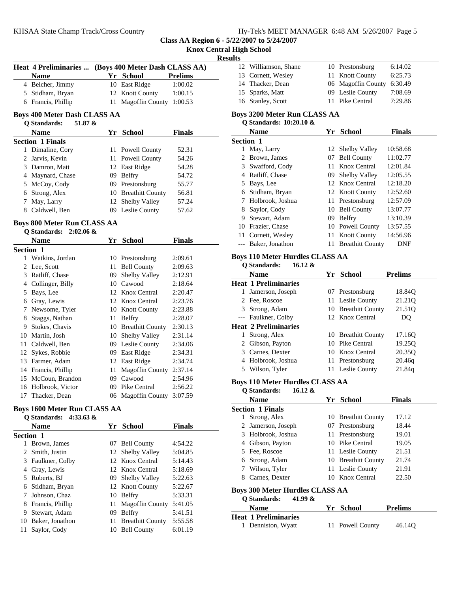|  |  | Hy-Tek's MEET MANAGER 6:48 AM 5/26/2007 Page 5 |  |  |  |
|--|--|------------------------------------------------|--|--|--|
|--|--|------------------------------------------------|--|--|--|

**Results**

|                  |                                                      |    |                                         |                | <b>Resul</b> |
|------------------|------------------------------------------------------|----|-----------------------------------------|----------------|--------------|
|                  | Heat 4 Preliminaries  (Boys 400 Meter Dash CLASS AA) |    |                                         |                |              |
|                  | <b>Name</b>                                          |    | Yr School                               | <b>Prelims</b> |              |
|                  | 4 Belcher, Jimmy                                     |    | 10 East Ridge                           | 1:00.02        |              |
|                  | 5 Stidham, Bryan                                     |    | 12 Knott County                         | 1:00.15        |              |
|                  | 6 Francis, Phillip                                   |    | 11 Magoffin County 1:00.53              |                |              |
|                  | <b>Boys 400 Meter Dash CLASS AA</b>                  |    |                                         |                | I            |
|                  | Q Standards:<br>$51.87 \&$                           |    |                                         |                |              |
|                  | <b>Name</b>                                          |    | Yr School                               | Finals         |              |
|                  | <b>Section 1 Finals</b>                              |    |                                         |                | Š            |
|                  | 1 Dimaline, Cory                                     |    | 11 Powell County                        | 52.31          |              |
|                  | 2 Jarvis, Kevin                                      |    | 11 Powell County                        | 54.26          |              |
|                  | 3 Damron, Matt                                       |    | 12 East Ridge                           | 54.28          |              |
|                  | 4 Maynard, Chase                                     |    | 09 Belfry                               | 54.72          |              |
|                  | 5 McCoy, Cody                                        |    | 09 Prestonsburg                         | 55.77          |              |
|                  | 6 Strong, Alex                                       |    | 10 Breathitt County                     | 56.81          |              |
|                  | 7 May, Larry                                         |    | 12 Shelby Valley                        | 57.24          |              |
|                  | 8 Caldwell, Ben                                      |    | 09 Leslie County                        | 57.62          |              |
|                  |                                                      |    |                                         |                |              |
|                  | <b>Boys 800 Meter Run CLASS AA</b>                   |    |                                         |                |              |
|                  | Q Standards: 2:02.06 &                               |    |                                         |                |              |
|                  | <b>Name</b>                                          |    | Yr School                               | <b>Finals</b>  |              |
| <b>Section 1</b> |                                                      |    |                                         |                | I            |
|                  | 1 Watkins, Jordan                                    |    | 10 Prestonsburg                         | 2:09.61        |              |
|                  | 2 Lee, Scott                                         |    | 11 Bell County                          | 2:09.63        |              |
|                  | 3 Ratliff, Chase                                     |    | 09 Shelby Valley                        | 2:12.91        | I            |
|                  | 4 Collinger, Billy                                   |    | 10 Cawood                               | 2:18.64        |              |
|                  | 5 Bays, Lee                                          |    | 12 Knox Central                         | 2:20.47        |              |
|                  | 6 Gray, Lewis                                        |    | 12 Knox Central                         | 2:23.76        |              |
|                  | 7 Newsome, Tyler                                     |    | 10 Knott County                         | 2:23.88        |              |
|                  | 8 Staggs, Nathan                                     |    | 11 Belfry                               | 2:28.07        |              |
|                  | 9 Stokes, Chavis                                     |    | 10 Breathitt County                     | 2:30.13        | I            |
|                  | 10 Martin, Josh                                      |    | 10 Shelby Valley                        | 2:31.14        |              |
|                  | 11 Caldwell, Ben                                     |    | 09 Leslie County                        | 2:34.06        |              |
|                  | 12 Sykes, Robbie                                     |    | 09 East Ridge                           | 2:34.31        |              |
|                  | 13 Farmer, Adam                                      |    | 12 East Ridge                           | 2:34.74        |              |
|                  | 14 Francis, Phillip                                  |    | 11 Magoffin County 2:37.14<br>09 Cawood |                |              |
|                  | 15 McCoun, Brandon                                   |    |                                         | 2:54.96        | I            |
| 16               | Holbrook, Victor                                     |    | 09 Pike Central                         | 2:56.22        |              |
|                  | 17 Thacker, Dean                                     |    | 06 Magoffin County 3:07.59              |                |              |
|                  | <b>Boys 1600 Meter Run CLASS AA</b>                  |    |                                         |                | Š            |
|                  | Q Standards: 4:33.63 &                               |    |                                         |                |              |
|                  | <b>Name</b>                                          |    | Yr School                               | <b>Finals</b>  |              |
| Section 1        |                                                      |    |                                         |                |              |
|                  | 1 Brown, James                                       | 07 | <b>Bell County</b>                      | 4:54.22        |              |
|                  | 2 Smith, Justin                                      | 12 | Shelby Valley                           | 5:04.85        |              |
|                  | 3 Faulkner, Colby                                    |    | 12 Knox Central                         | 5:14.43        |              |
|                  | 4 Gray, Lewis                                        |    | 12 Knox Central                         | 5:18.69        |              |
|                  | 5 Roberts, BJ                                        |    | 09 Shelby Valley                        | 5:22.63        |              |
|                  | 6 Stidham, Bryan                                     |    | 12 Knott County                         | 5:22.67        |              |
|                  | 7 Johnson, Chaz                                      |    | 10 Belfry                               | 5:33.31        | I            |
|                  | 8 Francis, Phillip                                   |    | 11 Magoffin County                      | 5:41.05        |              |
|                  | 9 Stewart, Adam                                      |    | 09 Belfry                               | 5:41.51        |              |
|                  | 10 Baker, Jonathon                                   |    | 11 Breathitt County                     | 5:55.58        | I            |
| 11               | Saylor, Cody                                         |    | 10 Bell County                          | 6:01.19        |              |
|                  |                                                      |    |                                         |                |              |

| uts |                              |     |                    |         |
|-----|------------------------------|-----|--------------------|---------|
|     | 12 Williamson, Shane         |     | 10 Prestonsburg    | 6:14.02 |
|     | 13 Cornett, Wesley           |     | 11 Knott County    | 6:25.73 |
|     | 14 Thacker, Dean             |     | 06 Magoffin County | 6:30.49 |
|     | 15 Sparks, Matt              |     | 09 Leslie County   | 7:08.69 |
|     | 16 Stanley, Scott            |     | 11 Pike Central    | 7:29.86 |
|     | Boys 3200 Meter Run CLASS AA |     |                    |         |
|     | O Standards: 10:20.10 &      |     |                    |         |
|     | <b>Name</b>                  | Yr. | School             | Finals  |

|                  | 1 valliv          | . . | vanvon                  | т пісно  |
|------------------|-------------------|-----|-------------------------|----------|
| <b>Section 1</b> |                   |     |                         |          |
|                  | May, Larry        |     | 12 Shelby Valley        | 10:58.68 |
| 2                | Brown, James      | 07  | <b>Bell County</b>      | 11:02.77 |
| 3                | Swafford, Cody    |     | 11 Knox Central         | 12:01.84 |
| 4                | Ratliff, Chase    | 09. | <b>Shelby Valley</b>    | 12:05.55 |
| 5                | Bays, Lee         |     | 12 Knox Central         | 12:18.20 |
| 6                | Stidham, Bryan    |     | 12 Knott County         | 12:52.60 |
|                  | Holbrook, Joshua  |     | 11 Prestonsburg         | 12:57.09 |
| 8                | Saylor, Cody      |     | 10 Bell County          | 13:07.77 |
| 9                | Stewart, Adam     | 09  | Belfry                  | 13:10.39 |
|                  | 10 Frazier, Chase |     | 10 Powell County        | 13:57.55 |
| 11               | Cornett, Wesley   |     | 11 Knott County         | 14:56.96 |
|                  | Baker, Jonathon   | 11  | <b>Breathitt County</b> | DNF      |

# **Boys 110 Meter Hurdles CLASS AA**

|    | 16.12 $\&$<br><b>O</b> Standards: |                  |                     |                |
|----|-----------------------------------|------------------|---------------------|----------------|
|    | <b>Name</b>                       | Yr               | <b>School</b>       | <b>Prelims</b> |
|    | <b>Heat 1 Preliminaries</b>       |                  |                     |                |
| 1. | Jamerson, Joseph                  |                  | 07 Prestonsburg     | 18.84Q         |
|    | 2 Fee, Roscoe                     |                  | 11 Leslie County    | 21.210         |
|    | 3 Strong, Adam                    |                  | 10 Breathitt County | 21.510         |
|    | --- Faulkner, Colby               |                  | 12 Knox Central     | DO             |
|    | <b>Heat 2 Preliminaries</b>       |                  |                     |                |
|    | Strong, Alex                      |                  | 10 Breathitt County | 17.16O         |
|    | 2 Gibson, Payton                  |                  | 10 Pike Central     | 19.250         |
| 3. | Carnes, Dexter                    |                  | 10 Knox Central     | 20.35Q         |
| 4  | Holbrook, Joshua                  |                  | 11 Prestonsburg     | 20.46g         |
|    | 5 Wilson, Tyler                   |                  | 11 Leslie County    | 21.84g         |
|    | <b>TT</b><br>п.<br>440 W F J      | <b>AT LAN LL</b> |                     |                |

## **Boys 110 Meter Hurdles CLASS AA**

**Q Standards: 16.12 & Name Finals Property Property Property Property Property Property Property Property Property Property Property Property Property Property Property Property Property Property Propert Section 1 Finals** 1 Strong, Alex 10 Breathitt County 17.12 2 Jamerson, Joseph 07 Prestonsburg 18.44 3 19.01 Holbrook, Joshua 11 Prestonsburg 4 Gibson, Payton 10 Pike Central 19.05 5 Fee, Roscoe 11 Leslie County 21.51 6 21.74 Strong, Adam 10 Breathitt County 7 Wilson, Tyler 11 Leslie County 21.91 8 22.50 Carnes, Dexter 10 Knox Central **Boys 300 Meter Hurdles CLASS AA Q Standards: 41.99 & Name Prelims Prelims** 

| <b>Heat 1 Preliminaries</b> |                  |        |  |
|-----------------------------|------------------|--------|--|
| 1 Denniston, Wyatt          | 11 Powell County | 46.14Q |  |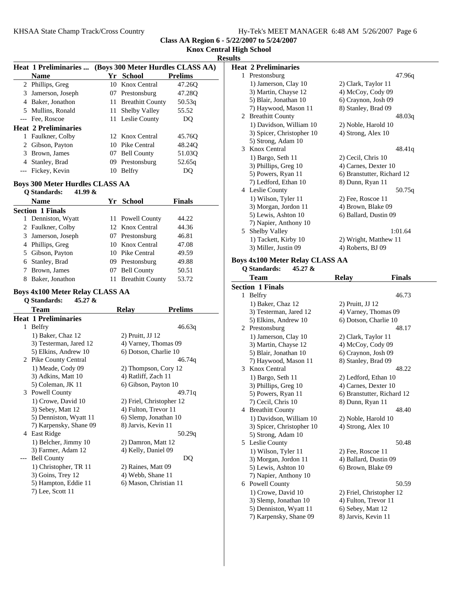|  |  |  |  | Hy-Tek's MEET MANAGER 6:48 AM 5/26/2007 Page 6 |  |  |  |
|--|--|--|--|------------------------------------------------|--|--|--|
|--|--|--|--|------------------------------------------------|--|--|--|

| <b>Name</b><br>2 Phillips, Greg<br>3 Jamerson, Joseph<br>4 Baker, Jonathon<br>5 Mullins, Ronald<br>--- Fee, Roscoe<br><b>Heat 2 Preliminaries</b><br>1 Faulkner, Colby<br>2 Gibson, Payton<br>3 Brown, James<br>4 Stanley, Brad<br>--- Fickey, Kevin<br><b>Boys 300 Meter Hurdles CLASS AA</b><br>Q Standards:<br>41.99 &<br><b>Name</b><br><b>Section 1 Finals</b><br>Denniston, Wyatt<br>2 Faulkner, Colby<br>3 Jamerson, Joseph<br>4 Phillips, Greg<br>5 Gibson, Payton<br>6 Stanley, Brad<br>7 Brown, James<br>8 Baker, Jonathon<br><b>Boys 4x100 Meter Relay CLASS AA</b><br>Q Standards:<br>45.27 & | 10<br>11<br>11                                                                                                                                                                                                                                                                                                                                                                          | Yr School<br>Knox Central<br>07 Prestonsburg<br><b>Breathitt County</b><br>Shelby Valley<br>11 Leslie County<br>12 Knox Central<br>10 Pike Central<br>07 Bell County<br>09 Prestonsburg<br>10 Belfry<br>Yr School<br>11 Powell County<br>12 Knox Central<br>07 Prestonsburg<br>10 Knox Central<br>10 Pike Central<br>09 Prestonsburg<br>07 Bell County<br>11 Breathitt County | <b>Prelims</b><br>47.26Q<br>47.28Q<br>50.53g<br>55.52<br>DQ<br>45.76Q<br>48.24Q<br>51.03Q<br>52.65q<br>DQ<br><b>Finals</b><br>44.22<br>44.36<br>46.81<br>47.08<br>49.59<br>49.88<br>50.51<br>53.72                                                                                                                                         |
|-----------------------------------------------------------------------------------------------------------------------------------------------------------------------------------------------------------------------------------------------------------------------------------------------------------------------------------------------------------------------------------------------------------------------------------------------------------------------------------------------------------------------------------------------------------------------------------------------------------|-----------------------------------------------------------------------------------------------------------------------------------------------------------------------------------------------------------------------------------------------------------------------------------------------------------------------------------------------------------------------------------------|-------------------------------------------------------------------------------------------------------------------------------------------------------------------------------------------------------------------------------------------------------------------------------------------------------------------------------------------------------------------------------|--------------------------------------------------------------------------------------------------------------------------------------------------------------------------------------------------------------------------------------------------------------------------------------------------------------------------------------------|
|                                                                                                                                                                                                                                                                                                                                                                                                                                                                                                                                                                                                           |                                                                                                                                                                                                                                                                                                                                                                                         |                                                                                                                                                                                                                                                                                                                                                                               |                                                                                                                                                                                                                                                                                                                                            |
|                                                                                                                                                                                                                                                                                                                                                                                                                                                                                                                                                                                                           |                                                                                                                                                                                                                                                                                                                                                                                         |                                                                                                                                                                                                                                                                                                                                                                               |                                                                                                                                                                                                                                                                                                                                            |
|                                                                                                                                                                                                                                                                                                                                                                                                                                                                                                                                                                                                           |                                                                                                                                                                                                                                                                                                                                                                                         |                                                                                                                                                                                                                                                                                                                                                                               |                                                                                                                                                                                                                                                                                                                                            |
|                                                                                                                                                                                                                                                                                                                                                                                                                                                                                                                                                                                                           |                                                                                                                                                                                                                                                                                                                                                                                         |                                                                                                                                                                                                                                                                                                                                                                               |                                                                                                                                                                                                                                                                                                                                            |
|                                                                                                                                                                                                                                                                                                                                                                                                                                                                                                                                                                                                           |                                                                                                                                                                                                                                                                                                                                                                                         |                                                                                                                                                                                                                                                                                                                                                                               |                                                                                                                                                                                                                                                                                                                                            |
|                                                                                                                                                                                                                                                                                                                                                                                                                                                                                                                                                                                                           |                                                                                                                                                                                                                                                                                                                                                                                         |                                                                                                                                                                                                                                                                                                                                                                               |                                                                                                                                                                                                                                                                                                                                            |
|                                                                                                                                                                                                                                                                                                                                                                                                                                                                                                                                                                                                           |                                                                                                                                                                                                                                                                                                                                                                                         |                                                                                                                                                                                                                                                                                                                                                                               |                                                                                                                                                                                                                                                                                                                                            |
|                                                                                                                                                                                                                                                                                                                                                                                                                                                                                                                                                                                                           |                                                                                                                                                                                                                                                                                                                                                                                         |                                                                                                                                                                                                                                                                                                                                                                               |                                                                                                                                                                                                                                                                                                                                            |
|                                                                                                                                                                                                                                                                                                                                                                                                                                                                                                                                                                                                           |                                                                                                                                                                                                                                                                                                                                                                                         |                                                                                                                                                                                                                                                                                                                                                                               |                                                                                                                                                                                                                                                                                                                                            |
|                                                                                                                                                                                                                                                                                                                                                                                                                                                                                                                                                                                                           |                                                                                                                                                                                                                                                                                                                                                                                         |                                                                                                                                                                                                                                                                                                                                                                               |                                                                                                                                                                                                                                                                                                                                            |
|                                                                                                                                                                                                                                                                                                                                                                                                                                                                                                                                                                                                           |                                                                                                                                                                                                                                                                                                                                                                                         |                                                                                                                                                                                                                                                                                                                                                                               |                                                                                                                                                                                                                                                                                                                                            |
|                                                                                                                                                                                                                                                                                                                                                                                                                                                                                                                                                                                                           |                                                                                                                                                                                                                                                                                                                                                                                         |                                                                                                                                                                                                                                                                                                                                                                               |                                                                                                                                                                                                                                                                                                                                            |
|                                                                                                                                                                                                                                                                                                                                                                                                                                                                                                                                                                                                           |                                                                                                                                                                                                                                                                                                                                                                                         |                                                                                                                                                                                                                                                                                                                                                                               |                                                                                                                                                                                                                                                                                                                                            |
|                                                                                                                                                                                                                                                                                                                                                                                                                                                                                                                                                                                                           |                                                                                                                                                                                                                                                                                                                                                                                         |                                                                                                                                                                                                                                                                                                                                                                               |                                                                                                                                                                                                                                                                                                                                            |
|                                                                                                                                                                                                                                                                                                                                                                                                                                                                                                                                                                                                           |                                                                                                                                                                                                                                                                                                                                                                                         |                                                                                                                                                                                                                                                                                                                                                                               |                                                                                                                                                                                                                                                                                                                                            |
|                                                                                                                                                                                                                                                                                                                                                                                                                                                                                                                                                                                                           |                                                                                                                                                                                                                                                                                                                                                                                         |                                                                                                                                                                                                                                                                                                                                                                               |                                                                                                                                                                                                                                                                                                                                            |
|                                                                                                                                                                                                                                                                                                                                                                                                                                                                                                                                                                                                           |                                                                                                                                                                                                                                                                                                                                                                                         |                                                                                                                                                                                                                                                                                                                                                                               |                                                                                                                                                                                                                                                                                                                                            |
|                                                                                                                                                                                                                                                                                                                                                                                                                                                                                                                                                                                                           |                                                                                                                                                                                                                                                                                                                                                                                         |                                                                                                                                                                                                                                                                                                                                                                               |                                                                                                                                                                                                                                                                                                                                            |
|                                                                                                                                                                                                                                                                                                                                                                                                                                                                                                                                                                                                           |                                                                                                                                                                                                                                                                                                                                                                                         |                                                                                                                                                                                                                                                                                                                                                                               |                                                                                                                                                                                                                                                                                                                                            |
|                                                                                                                                                                                                                                                                                                                                                                                                                                                                                                                                                                                                           |                                                                                                                                                                                                                                                                                                                                                                                         |                                                                                                                                                                                                                                                                                                                                                                               |                                                                                                                                                                                                                                                                                                                                            |
|                                                                                                                                                                                                                                                                                                                                                                                                                                                                                                                                                                                                           |                                                                                                                                                                                                                                                                                                                                                                                         |                                                                                                                                                                                                                                                                                                                                                                               |                                                                                                                                                                                                                                                                                                                                            |
|                                                                                                                                                                                                                                                                                                                                                                                                                                                                                                                                                                                                           |                                                                                                                                                                                                                                                                                                                                                                                         |                                                                                                                                                                                                                                                                                                                                                                               |                                                                                                                                                                                                                                                                                                                                            |
|                                                                                                                                                                                                                                                                                                                                                                                                                                                                                                                                                                                                           |                                                                                                                                                                                                                                                                                                                                                                                         |                                                                                                                                                                                                                                                                                                                                                                               |                                                                                                                                                                                                                                                                                                                                            |
|                                                                                                                                                                                                                                                                                                                                                                                                                                                                                                                                                                                                           |                                                                                                                                                                                                                                                                                                                                                                                         |                                                                                                                                                                                                                                                                                                                                                                               |                                                                                                                                                                                                                                                                                                                                            |
|                                                                                                                                                                                                                                                                                                                                                                                                                                                                                                                                                                                                           |                                                                                                                                                                                                                                                                                                                                                                                         |                                                                                                                                                                                                                                                                                                                                                                               |                                                                                                                                                                                                                                                                                                                                            |
|                                                                                                                                                                                                                                                                                                                                                                                                                                                                                                                                                                                                           |                                                                                                                                                                                                                                                                                                                                                                                         |                                                                                                                                                                                                                                                                                                                                                                               |                                                                                                                                                                                                                                                                                                                                            |
| <b>Team</b>                                                                                                                                                                                                                                                                                                                                                                                                                                                                                                                                                                                               |                                                                                                                                                                                                                                                                                                                                                                                         | Relay                                                                                                                                                                                                                                                                                                                                                                         | <b>Prelims</b>                                                                                                                                                                                                                                                                                                                             |
| <b>Heat 1 Preliminaries</b>                                                                                                                                                                                                                                                                                                                                                                                                                                                                                                                                                                               |                                                                                                                                                                                                                                                                                                                                                                                         |                                                                                                                                                                                                                                                                                                                                                                               |                                                                                                                                                                                                                                                                                                                                            |
| <b>Belfry</b>                                                                                                                                                                                                                                                                                                                                                                                                                                                                                                                                                                                             |                                                                                                                                                                                                                                                                                                                                                                                         |                                                                                                                                                                                                                                                                                                                                                                               | 46.63q                                                                                                                                                                                                                                                                                                                                     |
| 1) Baker, Chaz 12                                                                                                                                                                                                                                                                                                                                                                                                                                                                                                                                                                                         |                                                                                                                                                                                                                                                                                                                                                                                         | 2) Pruitt, JJ 12                                                                                                                                                                                                                                                                                                                                                              |                                                                                                                                                                                                                                                                                                                                            |
|                                                                                                                                                                                                                                                                                                                                                                                                                                                                                                                                                                                                           |                                                                                                                                                                                                                                                                                                                                                                                         |                                                                                                                                                                                                                                                                                                                                                                               |                                                                                                                                                                                                                                                                                                                                            |
|                                                                                                                                                                                                                                                                                                                                                                                                                                                                                                                                                                                                           |                                                                                                                                                                                                                                                                                                                                                                                         |                                                                                                                                                                                                                                                                                                                                                                               |                                                                                                                                                                                                                                                                                                                                            |
|                                                                                                                                                                                                                                                                                                                                                                                                                                                                                                                                                                                                           |                                                                                                                                                                                                                                                                                                                                                                                         |                                                                                                                                                                                                                                                                                                                                                                               | 46.74g                                                                                                                                                                                                                                                                                                                                     |
|                                                                                                                                                                                                                                                                                                                                                                                                                                                                                                                                                                                                           |                                                                                                                                                                                                                                                                                                                                                                                         |                                                                                                                                                                                                                                                                                                                                                                               |                                                                                                                                                                                                                                                                                                                                            |
|                                                                                                                                                                                                                                                                                                                                                                                                                                                                                                                                                                                                           |                                                                                                                                                                                                                                                                                                                                                                                         |                                                                                                                                                                                                                                                                                                                                                                               |                                                                                                                                                                                                                                                                                                                                            |
|                                                                                                                                                                                                                                                                                                                                                                                                                                                                                                                                                                                                           |                                                                                                                                                                                                                                                                                                                                                                                         |                                                                                                                                                                                                                                                                                                                                                                               |                                                                                                                                                                                                                                                                                                                                            |
|                                                                                                                                                                                                                                                                                                                                                                                                                                                                                                                                                                                                           |                                                                                                                                                                                                                                                                                                                                                                                         |                                                                                                                                                                                                                                                                                                                                                                               | 49.71q                                                                                                                                                                                                                                                                                                                                     |
|                                                                                                                                                                                                                                                                                                                                                                                                                                                                                                                                                                                                           |                                                                                                                                                                                                                                                                                                                                                                                         |                                                                                                                                                                                                                                                                                                                                                                               |                                                                                                                                                                                                                                                                                                                                            |
|                                                                                                                                                                                                                                                                                                                                                                                                                                                                                                                                                                                                           |                                                                                                                                                                                                                                                                                                                                                                                         |                                                                                                                                                                                                                                                                                                                                                                               |                                                                                                                                                                                                                                                                                                                                            |
|                                                                                                                                                                                                                                                                                                                                                                                                                                                                                                                                                                                                           |                                                                                                                                                                                                                                                                                                                                                                                         |                                                                                                                                                                                                                                                                                                                                                                               |                                                                                                                                                                                                                                                                                                                                            |
|                                                                                                                                                                                                                                                                                                                                                                                                                                                                                                                                                                                                           |                                                                                                                                                                                                                                                                                                                                                                                         |                                                                                                                                                                                                                                                                                                                                                                               |                                                                                                                                                                                                                                                                                                                                            |
|                                                                                                                                                                                                                                                                                                                                                                                                                                                                                                                                                                                                           |                                                                                                                                                                                                                                                                                                                                                                                         |                                                                                                                                                                                                                                                                                                                                                                               | 50.29q                                                                                                                                                                                                                                                                                                                                     |
|                                                                                                                                                                                                                                                                                                                                                                                                                                                                                                                                                                                                           |                                                                                                                                                                                                                                                                                                                                                                                         |                                                                                                                                                                                                                                                                                                                                                                               |                                                                                                                                                                                                                                                                                                                                            |
|                                                                                                                                                                                                                                                                                                                                                                                                                                                                                                                                                                                                           |                                                                                                                                                                                                                                                                                                                                                                                         |                                                                                                                                                                                                                                                                                                                                                                               |                                                                                                                                                                                                                                                                                                                                            |
|                                                                                                                                                                                                                                                                                                                                                                                                                                                                                                                                                                                                           |                                                                                                                                                                                                                                                                                                                                                                                         |                                                                                                                                                                                                                                                                                                                                                                               | DQ                                                                                                                                                                                                                                                                                                                                         |
|                                                                                                                                                                                                                                                                                                                                                                                                                                                                                                                                                                                                           |                                                                                                                                                                                                                                                                                                                                                                                         |                                                                                                                                                                                                                                                                                                                                                                               |                                                                                                                                                                                                                                                                                                                                            |
|                                                                                                                                                                                                                                                                                                                                                                                                                                                                                                                                                                                                           |                                                                                                                                                                                                                                                                                                                                                                                         |                                                                                                                                                                                                                                                                                                                                                                               |                                                                                                                                                                                                                                                                                                                                            |
|                                                                                                                                                                                                                                                                                                                                                                                                                                                                                                                                                                                                           |                                                                                                                                                                                                                                                                                                                                                                                         |                                                                                                                                                                                                                                                                                                                                                                               |                                                                                                                                                                                                                                                                                                                                            |
| 7) Lee, Scott 11                                                                                                                                                                                                                                                                                                                                                                                                                                                                                                                                                                                          |                                                                                                                                                                                                                                                                                                                                                                                         |                                                                                                                                                                                                                                                                                                                                                                               |                                                                                                                                                                                                                                                                                                                                            |
|                                                                                                                                                                                                                                                                                                                                                                                                                                                                                                                                                                                                           | 3) Testerman, Jared 12<br>5) Elkins, Andrew 10<br>2 Pike County Central<br>1) Meade, Cody 09<br>3) Adkins, Matt 10<br>5) Coleman, JK 11<br>Powell County<br>1) Crowe, David 10<br>3) Sebey, Matt 12<br>5) Denniston, Wyatt 11<br>4 East Ridge<br>1) Belcher, Jimmy 10<br>3) Farmer, Adam 12<br><b>Bell County</b><br>1) Christopher, TR 11<br>3) Goins, Trey 12<br>5) Hampton, Eddie 11 | 7) Karpensky, Shane 09                                                                                                                                                                                                                                                                                                                                                        | 4) Varney, Thomas 09<br>6) Dotson, Charlie 10<br>2) Thompson, Cory 12<br>4) Ratliff, Zach 11<br>6) Gibson, Payton 10<br>2) Friel, Christopher 12<br>4) Fulton, Trevor 11<br>6) Slemp, Jonathan 10<br>8) Jarvis, Kevin 11<br>2) Damron, Matt 12<br>4) Kelly, Daniel 09<br>2) Raines, Matt 09<br>4) Webb, Shane 11<br>6) Mason, Christian 11 |

**Knox Central High School Results**

|   | <b>Heat 2 Preliminaries</b> |                            |
|---|-----------------------------|----------------------------|
| 1 | Prestonsburg                | 47.96g                     |
|   | 1) Jamerson, Clay 10        | 2) Clark, Taylor 11        |
|   | 3) Martin, Chayse 12        | 4) McCoy, Cody 09          |
|   | 5) Blair, Jonathan 10       | 6) Craynon, Josh 09        |
|   | 7) Haywood, Mason 11        | 8) Stanley, Brad 09        |
|   | 2 Breathitt County          | 48.03q                     |
|   | 1) Davidson, William 10     | 2) Noble, Harold 10        |
|   | 3) Spicer, Christopher 10   | 4) Strong, Alex 10         |
|   | 5) Strong, Adam 10          |                            |
|   | 3 Knox Central              | 48.41q                     |
|   | 1) Bargo, Seth 11           | 2) Cecil, Chris 10         |
|   | 3) Phillips, Greg 10        | 4) Carnes, Dexter 10       |
|   | 5) Powers, Ryan 11          | 6) Branstutter, Richard 12 |
|   | 7) Ledford, Ethan 10        | 8) Dunn, Ryan 11           |
|   | 4 Leslie County             | 50.75q                     |
|   | 1) Wilson, Tyler 11         | 2) Fee, Roscoe 11          |
|   | 3) Morgan, Jordon 11        | 4) Brown, Blake 09         |
|   | 5) Lewis, Ashton 10         | 6) Ballard, Dustin 09      |
|   | 7) Napier, Anthony 10       |                            |
|   | 5 Shelby Valley             | 1:01.64                    |
|   | 1) Tackett, Kirby 10        | 2) Wright, Matthew 11      |
|   | 3) Miller, Justin 09        | 4) Roberts, BJ 09          |

## **Boys 4x100 Meter Relay CLASS AA**

**Q Standards: 45.27 &** Team Relay Finals **Section 1 Finals** 1 Belfry 46.73 1) Baker, Chaz 12 2) Pruitt, JJ 12 3) Testerman, Jared 12 4) Varney, Thomas 09 5) Elkins, Andrew 10 6) Dotson, Charlie 10 2 48.17 Prestonsburg 1) Jamerson, Clay 10 2) Clark, Taylor 11 3) Martin, Chayse 12 4) McCoy, Cody 09 5) Blair, Jonathan 10 6) Craynon, Josh 09 7) Haywood, Mason 11 8) Stanley, Brad 09 3 48.22 Knox Central 1) Bargo, Seth 11 2) Ledford, Ethan 10 3) Phillips, Greg 10 4) Carnes, Dexter 10 5) Powers, Ryan 11 6) Branstutter, Richard 12 7) Cecil, Chris 10 8) Dunn, Ryan 11 4 Breathitt County 48.40 1) Davidson, William 10 2) Noble, Harold 10 3) Spicer, Christopher 10 4) Strong, Alex 10 5) Strong, Adam 10 5 50.48 Leslie County 1) Wilson, Tyler 11 2) Fee, Roscoe 11 3) Morgan, Jordon 11 4) Ballard, Dustin 09 5) Lewis, Ashton 10 6) Brown, Blake 09 7) Napier, Anthony 10 6 50.59 Powell County 1) Crowe, David 10 2) Friel, Christopher 12 3) Slemp, Jonathan 10 4) Fulton, Trevor 11 5) Denniston, Wyatt 11 6) Sebey, Matt 12 7) Karpensky, Shane 09 8) Jarvis, Kevin 11